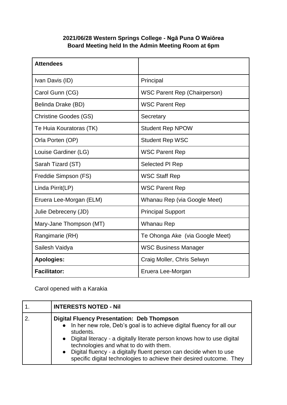## **2021/06/28 Western Springs College - Ngā Puna O Waiōrea Board Meeting held In the Admin Meeting Room at 6pm**

| <b>Attendees</b>             |                                     |
|------------------------------|-------------------------------------|
| Ivan Davis (ID)              | Principal                           |
| Carol Gunn (CG)              | <b>WSC Parent Rep (Chairperson)</b> |
| Belinda Drake (BD)           | <b>WSC Parent Rep</b>               |
| <b>Christine Goodes (GS)</b> | Secretary                           |
| Te Huia Kouratoras (TK)      | <b>Student Rep NPOW</b>             |
| Orla Porten (OP)             | <b>Student Rep WSC</b>              |
| Louise Gardiner (LG)         | <b>WSC Parent Rep</b>               |
| Sarah Tizard (ST)            | Selected PI Rep                     |
| Freddie Simpson (FS)         | <b>WSC Staff Rep</b>                |
| Linda Pirrit(LP)             | <b>WSC Parent Rep</b>               |
| Eruera Lee-Morgan (ELM)      | Whanau Rep (via Google Meet)        |
| Julie Debreceny (JD)         | <b>Principal Support</b>            |
| Mary-Jane Thompson (MT)      | Whanau Rep                          |
| Rangimarie (RH)              | Te Ohonga Ake (via Google Meet)     |
| Sailesh Vaidya               | <b>WSC Business Manager</b>         |
| <b>Apologies:</b>            | Craig Moller, Chris Selwyn          |
| <b>Facilitator:</b>          | Eruera Lee-Morgan                   |

Carol opened with a Karakia

| <b>INTERESTS NOTED - Nil</b>                                                                                                                                                                                                                                                                                                                                                                                     |
|------------------------------------------------------------------------------------------------------------------------------------------------------------------------------------------------------------------------------------------------------------------------------------------------------------------------------------------------------------------------------------------------------------------|
| <b>Digital Fluency Presentation: Deb Thompson</b><br>• In her new role, Deb's goal is to achieve digital fluency for all our<br>students.<br>• Digital literacy - a digitally literate person knows how to use digital<br>technologies and what to do with them.<br>• Digital fluency - a digitally fluent person can decide when to use<br>specific digital technologies to achieve their desired outcome. They |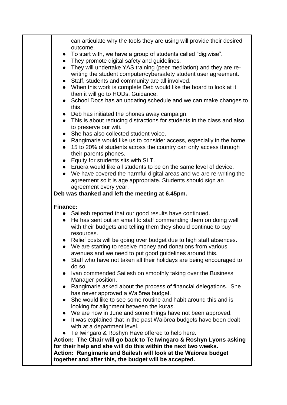| can articulate why the tools they are using will provide their desired<br>outcome. |
|------------------------------------------------------------------------------------|
| To start with, we have a group of students called "digiwise".<br>$\bullet$         |
| • They promote digital safety and guidelines.                                      |
| They will undertake YAS training (peer mediation) and they are re-                 |
| writing the student computer/cybersafety student user agreement.                   |
| Staff, students and community are all involved.                                    |
| • When this work is complete Deb would like the board to look at it,               |
| then it will go to HODs, Guidance.                                                 |
| School Docs has an updating schedule and we can make changes to<br>$\bullet$       |
| this.                                                                              |
| Deb has initiated the phones away campaign.<br>$\bullet$                           |
| • This is about reducing distractions for students in the class and also           |
| to preserve our wifi.                                                              |
| She has also collected student voice.<br>$\bullet$                                 |
| Rangimarie would like us to consider access, especially in the home.<br>$\bullet$  |
| 15 to 20% of students across the country can only access through<br>$\bullet$      |
| their parents phones.                                                              |
| Equity for students sits with SLT.<br>$\bullet$                                    |
| • Eruera would like all students to be on the same level of device.                |
| • We have covered the harmful digital areas and we are re-writing the              |
| agreement so it is age appropriate. Students should sign an                        |
| agreement every year.                                                              |
| Deb was thanked and left the meeting at 6.45pm.                                    |
|                                                                                    |
| <b>Finance:</b>                                                                    |
| Sailesh reported that our good results have continued.<br>$\bullet$                |
| He has sent out an email to staff commending them on doing well                    |
| with their budgets and telling them they should continue to buy                    |
| resources.                                                                         |
| • Relief costs will be going over budget due to high staff absences.               |
| We are starting to receive money and donations from various                        |
| avenues and we need to put good guidelines around this.                            |
| Staff who have not taken all their holidays are being encouraged to<br>$\bullet$   |
| do so.                                                                             |
| Ivan commended Sailesh on smoothly taking over the Business<br>$\bullet$           |
| Manager position.                                                                  |
| Rangimarie asked about the process of financial delegations. She                   |
| has never approved a Waiorea budget.                                               |
| She would like to see some routine and habit around this and is                    |
| looking for alignment between the kuras.                                           |
| • We are now in June and some things have not been approved.                       |
| It was explained that in the past Waiorea budgets have been dealt                  |
| with at a department level.                                                        |
| Te Iwingaro & Roshyn Have offered to help here.                                    |
| Action: The Chair will go back to Te Iwingaro & Roshyn Lyons asking                |
| for their help and she will do this within the next two weeks.                     |
| Action: Rangimarie and Sailesh will look at the Waiorea budget                     |
| together and after this, the budget will be accepted.                              |
|                                                                                    |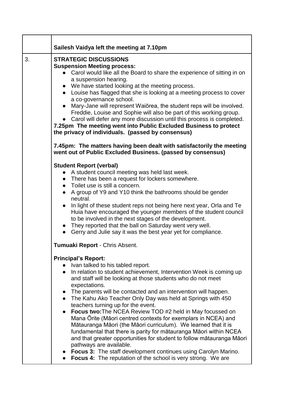|    | Sailesh Vaidya left the meeting at 7.10pm                                                                                                                                                                                                                                                                                                                                                                                                                                                                                                                                                                                                                                                                                                                                                                                                                                                                                      |
|----|--------------------------------------------------------------------------------------------------------------------------------------------------------------------------------------------------------------------------------------------------------------------------------------------------------------------------------------------------------------------------------------------------------------------------------------------------------------------------------------------------------------------------------------------------------------------------------------------------------------------------------------------------------------------------------------------------------------------------------------------------------------------------------------------------------------------------------------------------------------------------------------------------------------------------------|
| 3. | <b>STRATEGIC DISCUSSIONS</b><br><b>Suspension Meeting process:</b><br>Carol would like all the Board to share the experience of sitting in on<br>a suspension hearing.<br>• We have started looking at the meeting process.<br>• Louise has flagged that she is looking at a meeting process to cover<br>a co-governance school.<br>Mary-Jane will represent Waiorea, the student reps will be involved.<br>Freddie, Louise and Sophie will also be part of this working group.<br>• Carol will defer any more discussion until this process is completed.<br>7.25pm The meeting went into Public Excluded Business to protect<br>the privacy of individuals. (passed by consensus)                                                                                                                                                                                                                                            |
|    | 7.45pm: The matters having been dealt with satisfactorily the meeting<br>went out of Public Excluded Business. (passed by consensus)                                                                                                                                                                                                                                                                                                                                                                                                                                                                                                                                                                                                                                                                                                                                                                                           |
|    | <b>Student Report (verbal)</b><br>• A student council meeting was held last week.<br>• There has been a request for lockers somewhere.<br>• Toilet use is still a concern.<br>• A group of Y9 and Y10 think the bathrooms should be gender<br>neutral.<br>In light of these student reps not being here next year, Orla and Te<br>Huia have encouraged the younger members of the student council<br>to be involved in the next stages of the development.<br>• They reported that the ball on Saturday went very well.<br>• Gerry and Julie say it was the best year yet for compliance.<br>Tumuaki Report - Chris Absent.                                                                                                                                                                                                                                                                                                    |
|    | <b>Principal's Report:</b><br>• Ivan talked to his tabled report.<br>• In relation to student achievement, Intervention Week is coming up<br>and staff will be looking at those students who do not meet<br>expectations.<br>• The parents will be contacted and an intervention will happen.<br>• The Kahu Ako Teacher Only Day was held at Springs with 450<br>teachers turning up for the event.<br><b>Focus two: The NCEA Review TOD #2 held in May focussed on</b><br>Mana Orite (Māori centred contexts for exemplars in NCEA) and<br>Mātauranga Māori (the Māori curriculum). We learned that it is<br>fundamental that there is parity for matauranga Maori within NCEA<br>and that greater opportunities for student to follow mātauranga Māori<br>pathways are available.<br>• Focus 3: The staff development continues using Carolyn Marino.<br><b>Focus 4:</b> The reputation of the school is very strong. We are |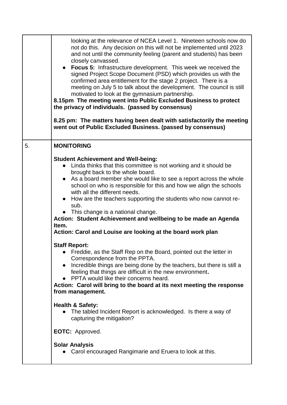|    | looking at the relevance of NCEA Level 1. Nineteen schools now do<br>not do this. Any decision on this will not be implemented until 2023<br>and not until the community feeling (parent and students) has been<br>closely canvassed.<br>• Focus 5: Infrastructure development. This week we received the<br>signed Project Scope Document (PSD) which provides us with the<br>confirmed area entitlement for the stage 2 project. There is a<br>meeting on July 5 to talk about the development. The council is still<br>motivated to look at the gymnasium partnership.<br>8.15pm The meeting went into Public Excluded Business to protect<br>the privacy of individuals. (passed by consensus)<br>8.25 pm: The matters having been dealt with satisfactorily the meeting<br>went out of Public Excluded Business. (passed by consensus) |
|----|---------------------------------------------------------------------------------------------------------------------------------------------------------------------------------------------------------------------------------------------------------------------------------------------------------------------------------------------------------------------------------------------------------------------------------------------------------------------------------------------------------------------------------------------------------------------------------------------------------------------------------------------------------------------------------------------------------------------------------------------------------------------------------------------------------------------------------------------|
| 5. | <b>MONITORING</b>                                                                                                                                                                                                                                                                                                                                                                                                                                                                                                                                                                                                                                                                                                                                                                                                                           |
|    | <b>Student Achievement and Well-being:</b><br>Linda thinks that this committee is not working and it should be<br>brought back to the whole board.<br>• As a board member she would like to see a report across the whole<br>school on who is responsible for this and how we align the schools<br>with all the different needs.<br>How are the teachers supporting the students who now cannot re-<br>sub.<br>This change is a national change.<br>Action: Student Achievement and wellbeing to be made an Agenda<br>Item.<br>Action: Carol and Louise are looking at the board work plan                                                                                                                                                                                                                                                  |
|    | <b>Staff Report:</b><br>Freddie, as the Staff Rep on the Board, pointed out the letter in<br>Correspondence from the PPTA.<br>Incredible things are being done by the teachers, but there is still a<br>$\bullet$<br>feeling that things are difficult in the new environment.<br>PPTA would like their concerns heard.<br>Action: Carol will bring to the board at its next meeting the response<br>from management.                                                                                                                                                                                                                                                                                                                                                                                                                       |
|    | <b>Health &amp; Safety:</b><br>The tabled Incident Report is acknowledged. Is there a way of<br>capturing the mitigation?                                                                                                                                                                                                                                                                                                                                                                                                                                                                                                                                                                                                                                                                                                                   |
|    | <b>EOTC:</b> Approved.                                                                                                                                                                                                                                                                                                                                                                                                                                                                                                                                                                                                                                                                                                                                                                                                                      |
|    | <b>Solar Analysis</b><br>• Carol encouraged Rangimarie and Eruera to look at this.                                                                                                                                                                                                                                                                                                                                                                                                                                                                                                                                                                                                                                                                                                                                                          |